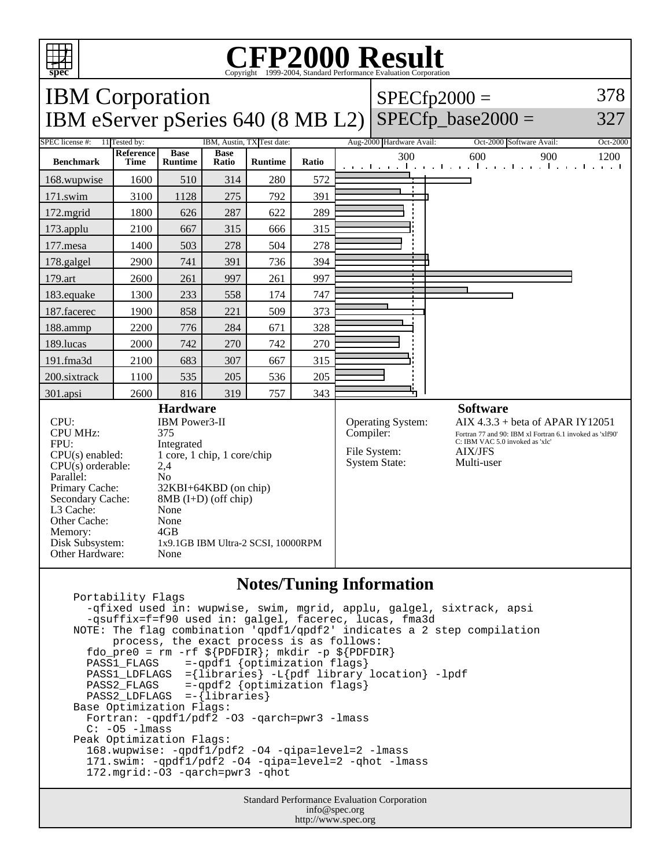

Other Cache: None<br>Memory: 4GB

Other Hardware: None

Disk Subsystem: 1x9.1GB IBM Ultra-2 SCSI, 10000RPM

Memory:

# Copyright ©1999-2004, Standard Performance Evaluation Corporation

| <b>IBM</b> Corporation                                  | $ SPECfp2000 =$ | 378 |
|---------------------------------------------------------|-----------------|-----|
| IBM eServer pSeries $640 (8 MB L2)  $ SPECfp_base2000 = |                 | 327 |

| SPEC license #:                                                                                                                                                                                                                                                                 | 11 Tested by:            | IBM, Austin, TX Test date:    |                      |                | Aug-2000 Hardware Avail:                                                      | Oct-2000 Software Avail:<br>Oct-2000                                                                                                                              |                                                                                                 |
|---------------------------------------------------------------------------------------------------------------------------------------------------------------------------------------------------------------------------------------------------------------------------------|--------------------------|-------------------------------|----------------------|----------------|-------------------------------------------------------------------------------|-------------------------------------------------------------------------------------------------------------------------------------------------------------------|-------------------------------------------------------------------------------------------------|
| <b>Benchmark</b>                                                                                                                                                                                                                                                                | <b>Reference</b><br>Time | <b>Base</b><br><b>Runtime</b> | <b>Base</b><br>Ratio | <b>Runtime</b> | Ratio                                                                         | 300                                                                                                                                                               | 600<br>900<br>1200<br>المتحارب والمتحار والمتحار والمتحار والمتحار<br>The property of the first |
| 168.wupwise                                                                                                                                                                                                                                                                     | 1600                     | 510                           | 314                  | 280            | 572                                                                           | $\blacksquare$                                                                                                                                                    |                                                                                                 |
| $171$ .swim                                                                                                                                                                                                                                                                     | 3100                     | 1128                          | 275                  | 792            | 391                                                                           |                                                                                                                                                                   |                                                                                                 |
| $172$ . mgrid                                                                                                                                                                                                                                                                   | 1800                     | 626                           | 287                  | 622            | 289                                                                           |                                                                                                                                                                   |                                                                                                 |
| $173$ .applu                                                                                                                                                                                                                                                                    | 2100                     | 667                           | 315                  | 666            | 315                                                                           |                                                                                                                                                                   |                                                                                                 |
| 177.mesa                                                                                                                                                                                                                                                                        | 1400                     | 503                           | 278                  | 504            | 278                                                                           |                                                                                                                                                                   |                                                                                                 |
| 178.galgel                                                                                                                                                                                                                                                                      | 2900                     | 741                           | 391                  | 736            | 394                                                                           |                                                                                                                                                                   |                                                                                                 |
| 179.art                                                                                                                                                                                                                                                                         | 2600                     | 261                           | 997                  | 261            | 997                                                                           | $\overline{\phantom{a}}$                                                                                                                                          |                                                                                                 |
| 183.equake                                                                                                                                                                                                                                                                      | 1300                     | 233                           | 558                  | 174            | 747                                                                           |                                                                                                                                                                   |                                                                                                 |
| 187. facerec                                                                                                                                                                                                                                                                    | 1900                     | 858                           | 221                  | 509            | 373                                                                           |                                                                                                                                                                   |                                                                                                 |
| 188.ammp                                                                                                                                                                                                                                                                        | 2200                     | 776                           | 284                  | 671            | 328                                                                           |                                                                                                                                                                   |                                                                                                 |
| 189.lucas                                                                                                                                                                                                                                                                       | 2000                     | 742                           | 270                  | 742            | 270                                                                           |                                                                                                                                                                   |                                                                                                 |
| $191$ .fma $3d$                                                                                                                                                                                                                                                                 | 2100                     | 683                           | 307                  | 667            | 315                                                                           |                                                                                                                                                                   |                                                                                                 |
| 200.sixtrack                                                                                                                                                                                                                                                                    | 1100                     | 535                           | 205                  | 536            | 205                                                                           |                                                                                                                                                                   |                                                                                                 |
| 301.apsi                                                                                                                                                                                                                                                                        | 2600                     | 816                           | 319                  | 757            | 343                                                                           |                                                                                                                                                                   |                                                                                                 |
| <b>Hardware</b>                                                                                                                                                                                                                                                                 |                          |                               |                      |                |                                                                               | <b>Software</b>                                                                                                                                                   |                                                                                                 |
| CPU:<br>IBM Power3-II<br><b>CPU MHz:</b><br>375<br>FPU:<br>Integrated<br>1 core, 1 chip, 1 core/chip<br>$CPU(s)$ enabled:<br>$CPU(s)$ orderable:<br>2,4<br>Parallel:<br>N <sub>o</sub><br>Primary Cache:<br>32KBI+64KBD (on chip)<br>Secondary Cache:<br>$8MB$ (I+D) (off chip) |                          |                               |                      |                | <b>Operating System:</b><br>Compiler:<br>File System:<br><b>System State:</b> | AIX $4.3.3$ + beta of APAR IY12051<br>Fortran 77 and 90: IBM xl Fortran 6.1 invoked as 'xlf90'<br>C: IBM VAC 5.0 invoked as 'xlc'<br><b>AIX/JFS</b><br>Multi-user |                                                                                                 |
| L3 Cache:<br>None                                                                                                                                                                                                                                                               |                          |                               |                      |                |                                                                               |                                                                                                                                                                   |                                                                                                 |

### **Notes/Tuning Information**

 Portability Flags -qfixed used in: wupwise, swim, mgrid, applu, galgel, sixtrack, apsi -qsuffix=f=f90 used in: galgel, facerec, lucas, fma3d NOTE: The flag combination 'qpdf1/qpdf2' indicates a 2 step compilation process, the exact process is as follows: fdo\_pre0 = rm -rf  $\S[PDFDIR]$ ; mkdir -p  $\S[PDFDIR]$  PASS1\_FLAGS =-qpdf1 {optimization flags} PASS1\_LDFLAGS ={libraries} -L{pdf library location} -lpdf PASS2\_FLAGS =-qpdf2 {optimization flags} PASS2\_LDFLAGS =-{libraries} Base Optimization Flags: Fortran: -qpdf1/pdf2 -O3 -qarch=pwr3 -lmass  $C: -05 -l$ mass Peak Optimization Flags: 168.wupwise: -qpdf1/pdf2 -O4 -qipa=level=2 -lmass 171.swim: -qpdf1/pdf2 -O4 -qipa=level=2 -qhot -lmass 172.mgrid:-O3 -qarch=pwr3 -qhot

> Standard Performance Evaluation Corporation info@spec.org http://www.spec.org